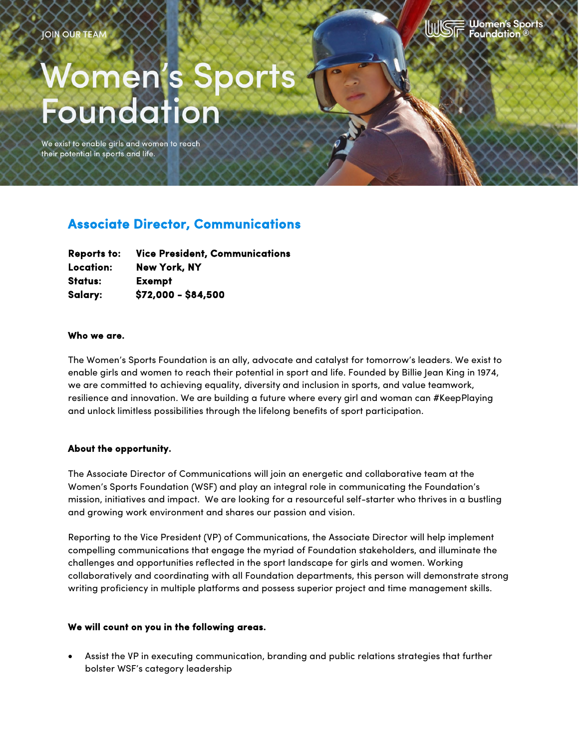

# Women's Sport<br>Foundation

We exist to enable girls and women to reach their potential in sports and life.

# **Associate Director, Communications**

| <b>Reports to:</b> | <b>Vice President, Communications</b> |
|--------------------|---------------------------------------|
| Location:          | <b>New York, NY</b>                   |
| Status:            | Exempt                                |
| Salary:            | $$72,000 - $84,500$                   |

#### **Who we are.**

The Women's Sports Foundation is an ally, advocate and catalyst for tomorrow's leaders. We exist to enable girls and women to reach their potential in sport and life. Founded by Billie Jean King in 1974, we are committed to achieving equality, diversity and inclusion in sports, and value teamwork, resilience and innovation. We are building a future where every girl and woman can #KeepPlaying and unlock limitless possibilities through the lifelong benefits of sport participation.

#### **About the opportunity.**

The Associate Director of Communications will join an energetic and collaborative team at the Women's Sports Foundation (WSF) and play an integral role in communicating the Foundation's mission, initiatives and impact. We are looking for a resourceful self-starter who thrives in a bustling and growing work environment and shares our passion and vision.

Reporting to the Vice President (VP) of Communications, the Associate Director will help implement compelling communications that engage the myriad of Foundation stakeholders, and illuminate the challenges and opportunities reflected in the sport landscape for girls and women. Working collaboratively and coordinating with all Foundation departments, this person will demonstrate strong writing proficiency in multiple platforms and possess superior project and time management skills.

#### **We will count on you in the following areas.**

• Assist the VP in executing communication, branding and public relations strategies that further bolster WSF's category leadership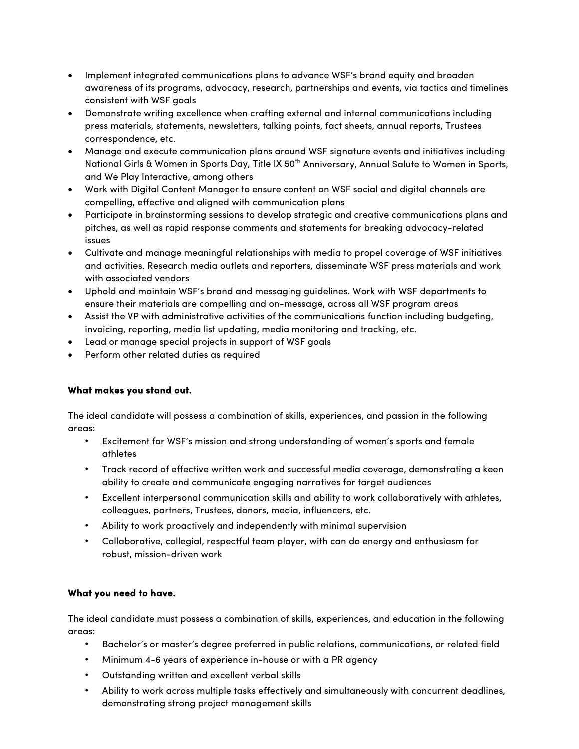- Implement integrated communications plans to advance WSF's brand equity and broaden awareness of its programs, advocacy, research, partnerships and events, via tactics and timelines consistent with WSF goals
- Demonstrate writing excellence when crafting external and internal communications including press materials, statements, newsletters, talking points, fact sheets, annual reports, Trustees correspondence, etc.
- Manage and execute communication plans around WSF signature events and initiatives including National Girls & Women in Sports Day, Title IX 50<sup>th</sup> Anniversary, Annual Salute to Women in Sports, and We Play Interactive, among others
- Work with Digital Content Manager to ensure content on WSF social and digital channels are compelling, effective and aligned with communication plans
- Participate in brainstorming sessions to develop strategic and creative communications plans and pitches, as well as rapid response comments and statements for breaking advocacy-related issues
- Cultivate and manage meaningful relationships with media to propel coverage of WSF initiatives and activities. Research media outlets and reporters, disseminate WSF press materials and work with associated vendors
- Uphold and maintain WSF's brand and messaging guidelines. Work with WSF departments to ensure their materials are compelling and on-message, across all WSF program areas
- Assist the VP with administrative activities of the communications function including budgeting, invoicing, reporting, media list updating, media monitoring and tracking, etc.
- Lead or manage special projects in support of WSF goals
- Perform other related duties as required

# **What makes you stand out.**

The ideal candidate will possess a combination of skills, experiences, and passion in the following areas:

- Excitement for WSF's mission and strong understanding of women's sports and female athletes
- Track record of effective written work and successful media coverage, demonstrating a keen ability to create and communicate engaging narratives for target audiences
- Excellent interpersonal communication skills and ability to work collaboratively with athletes, colleagues, partners, Trustees, donors, media, influencers, etc.
- Ability to work proactively and independently with minimal supervision
- Collaborative, collegial, respectful team player, with can do energy and enthusiasm for robust, mission-driven work

# **What you need to have.**

The ideal candidate must possess a combination of skills, experiences, and education in the following areas:

- Bachelor's or master's degree preferred in public relations, communications, or related field
- Minimum 4-6 years of experience in-house or with a PR agency
- Outstanding written and excellent verbal skills
- Ability to work across multiple tasks effectively and simultaneously with concurrent deadlines, demonstrating strong project management skills